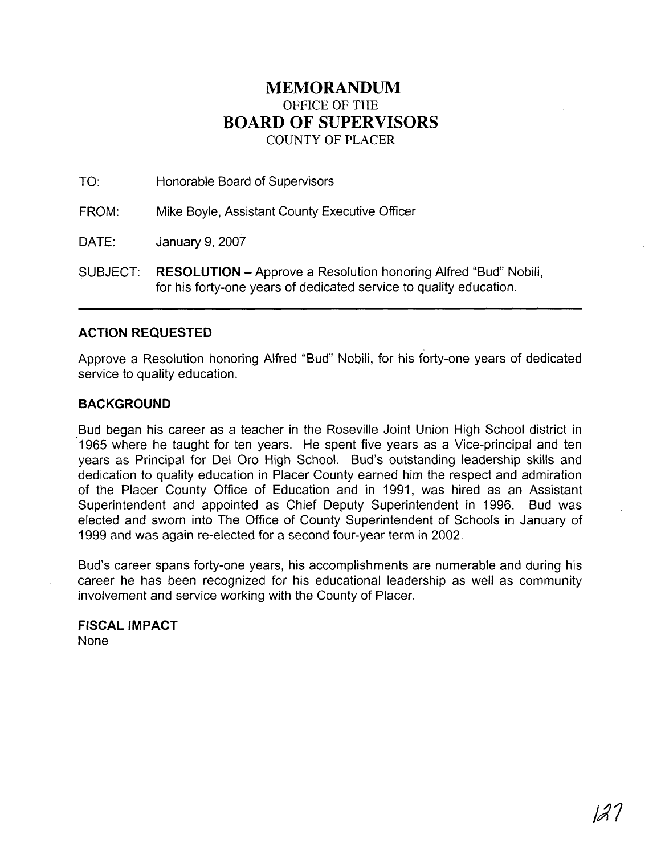## **MEMORANDUM**  OFFICE OF THE **BOARD** OF **SUPERVISORS COUNTY** OF PLACER

| TO:      | Honorable Board of Supervisors                                                                                                               |
|----------|----------------------------------------------------------------------------------------------------------------------------------------------|
| FROM:    | Mike Boyle, Assistant County Executive Officer                                                                                               |
| DATE:    | January 9, 2007                                                                                                                              |
| SUBJECT: | <b>RESOLUTION</b> – Approve a Resolution honoring Alfred "Bud" Nobili,<br>for his forty-one years of dedicated service to quality education. |

## **ACTION REQUESTED**

Approve a Resolution honoring Alfred "Bud" Nobili, for his forty-one years of dedicated service to quality education.

## **BACKGROUND**

Bud began his career as a teacher in the Roseville Joint Union High School district in 1965 where he taught for ten years. He spent five years as a Vice-principal and ten years as Principal for Del Oro High School. Bud's outstanding leadership skills and dedication to quality education in Placer County earned him the respect and admiration of the Placer County Office of Education and in 1991, was hired as an Assistant Superintendent and appointed as Chief Deputy Superintendent in 1996. Bud was elected and sworn into The Office of County Superintendent of Schools in January of 1999 and was again re-elected for a second four-year term in 2002.

Bud's career spans forty-one years, his accomplishments are numerable and during his career he has been recognized for his educational leadership as well as community involvement and service working with the County of Placer.

**FISCAL IMPACT**  None